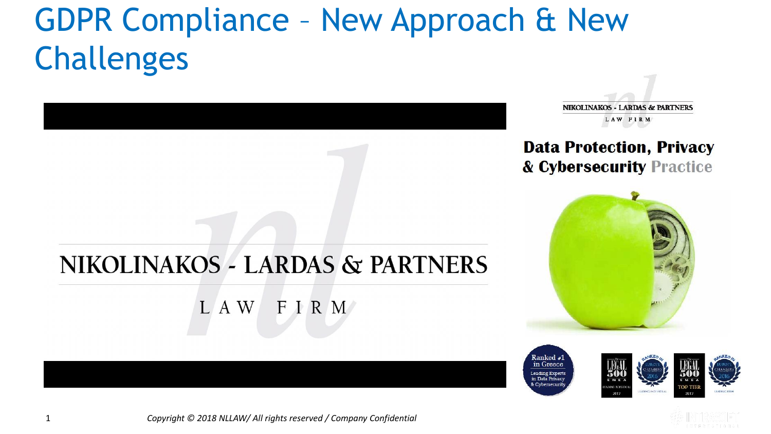# GDPR Compliance – New Approach & New Challenges



**NIKOLINAKOS - LARDAS & PARTNERS** LAW FIRM

#### **Data Protection, Privacy** & Cybersecurity Practice









1 *Copyright © 2018 NLLAW/ All rights reserved / Company Confidential*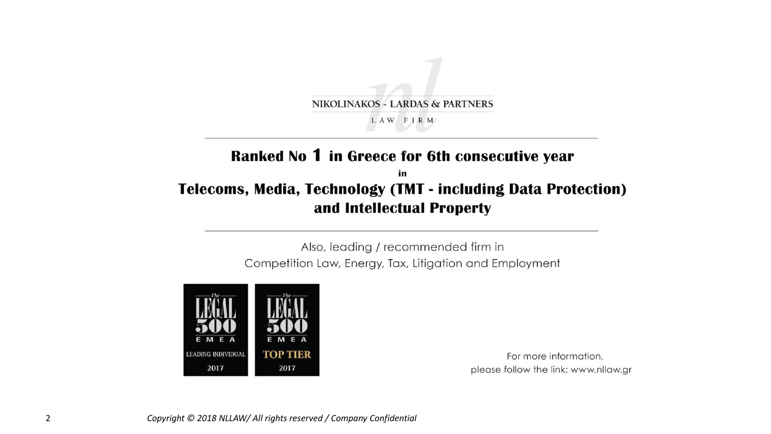

#### Ranked No 1 in Greece for 6th consecutive year

#### in **Telecoms, Media, Technology (TMT - including Data Protection)** and Intellectual Property

Also, leading / recommended firm in Competition Law, Energy, Tax, Litigation and Employment



For more information, please follow the link: www.nllaw.gr

2 *Copyright © 2018 NLLAW/ All rights reserved / Company Confidential*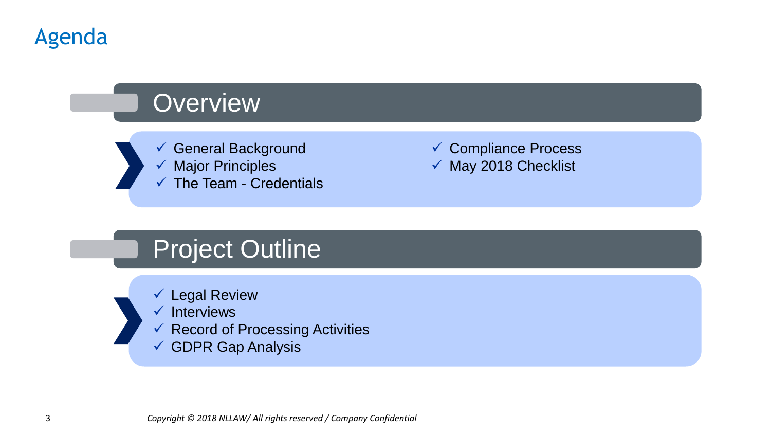

# **Overview**

- ✓ General Background
	- ✓ Major Principles
	- $\checkmark$  The Team Credentials

✓ Compliance Process ✓ May 2018 Checklist

# Project Outline

- ✓ Legal Review
- ✓ Interviews
- $\checkmark$  Record of Processing Activities
- ✓ GDPR Gap Analysis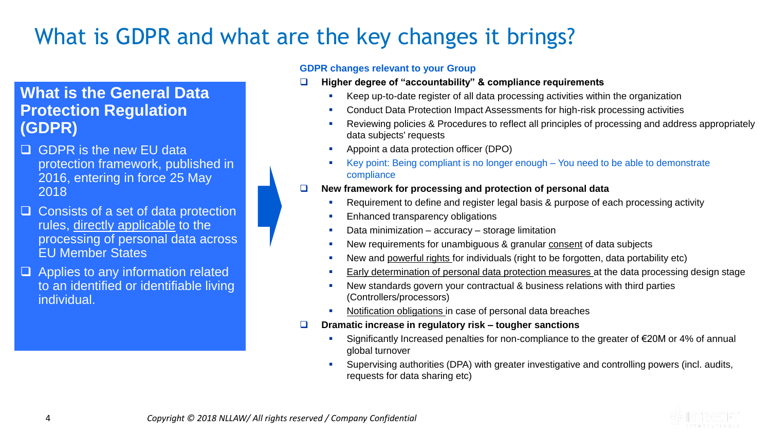### What is GDPR and what are the key changes it brings?

#### **What is the General Data Protection Regulation (GDPR)**

- GDPR is the new EU data protection framework, published in 2016, entering in force 25 May 2018
- $\Box$  Consists of a set of data protection rules, directly applicable to the processing of personal data across EU Member States
- $\Box$  Applies to any information related to an identified or identifiable living individual.

#### **GDPR changes relevant to your Group**

- **Higher degree of "accountability" & compliance requirements**
	- Keep up-to-date register of all data processing activities within the organization
	- Conduct Data Protection Impact Assessments for high-risk processing activities
	- Reviewing policies & Procedures to reflect all principles of processing and address appropriately data subjects' requests
	- Appoint a data protection officer (DPO)
	- Key point: Being compliant is no longer enough You need to be able to demonstrate compliance
- **New framework for processing and protection of personal data**
	- Requirement to define and register legal basis & purpose of each processing activity
	- **Enhanced transparency obligations**
	- Data minimization accuracy storage limitation
	- New requirements for unambiguous & granular consent of data subjects
	- New and powerful rights for individuals (right to be forgotten, data portability etc)
	- Early determination of personal data protection measures at the data processing design stage
	- **EXECT** New standards govern your contractual & business relations with third parties (Controllers/processors)
	- Notification obligations in case of personal data breaches
- **Dramatic increase in regulatory risk – tougher sanctions**
	- Significantly Increased penalties for non-compliance to the greater of €20M or 4% of annual global turnover
	- Supervising authorities (DPA) with greater investigative and controlling powers (incl. audits, requests for data sharing etc)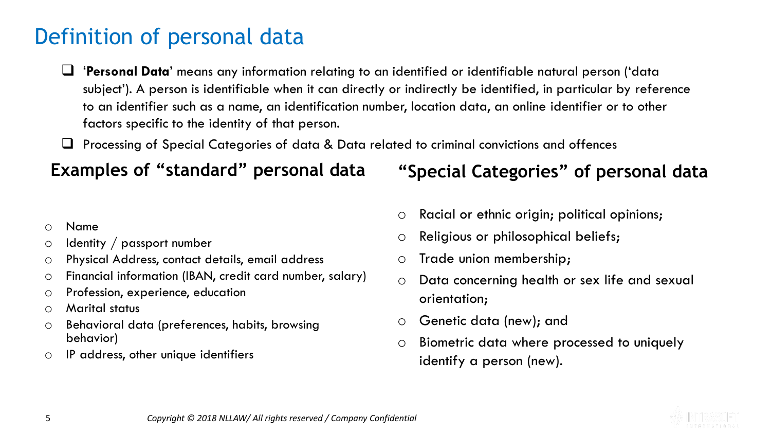### Definition of personal data

- '**Personal Data**' means any information relating to an identified or identifiable natural person ('data subject'). A person is identifiable when it can directly or indirectly be identified, in particular by reference to an identifier such as a name, an identification number, location data, an online identifier or to other factors specific to the identity of that person.
- Processing of Special Categories of data & Data related to criminal convictions and offences

#### **Examples of "standard" personal data**

#### o Name

- o Identity / passport number
- o Physical Address, contact details, email address
- o Financial information (IBAN, credit card number, salary)
- o Profession, experience, education
- o Marital status
- o Behavioral data (preferences, habits, browsing behavior)
- o IP address, other unique identifiers

#### **"Special Categories" of personal data**

- o Racial or ethnic origin; political opinions;
- o Religious or philosophical beliefs;
- o Trade union membership;
- o Data concerning health or sex life and sexual orientation;
- o Genetic data (new); and
- o Biometric data where processed to uniquely identify a person (new).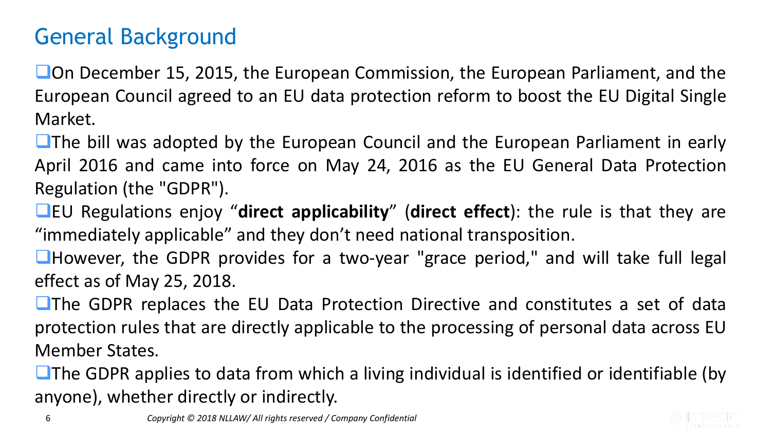### General Background

**On December 15, 2015, the European Commission, the European Parliament, and the** European Council agreed to an EU data protection reform to boost the EU Digital Single Market.

**The bill was adopted by the European Council and the European Parliament in early** April 2016 and came into force on May 24, 2016 as the EU General Data Protection Regulation (the "GDPR").

EU Regulations enjoy "**direct applicability**" (**direct effect**): the rule is that they are "immediately applicable" and they don't need national transposition.

**However, the GDPR provides for a two-year "grace period," and will take full legal** effect as of May 25, 2018.

**The GDPR replaces the EU Data Protection Directive and constitutes a set of data** protection rules that are directly applicable to the processing of personal data across EU Member States.

 $\Box$  The GDPR applies to data from which a living individual is identified or identifiable (by anyone), whether directly or indirectly.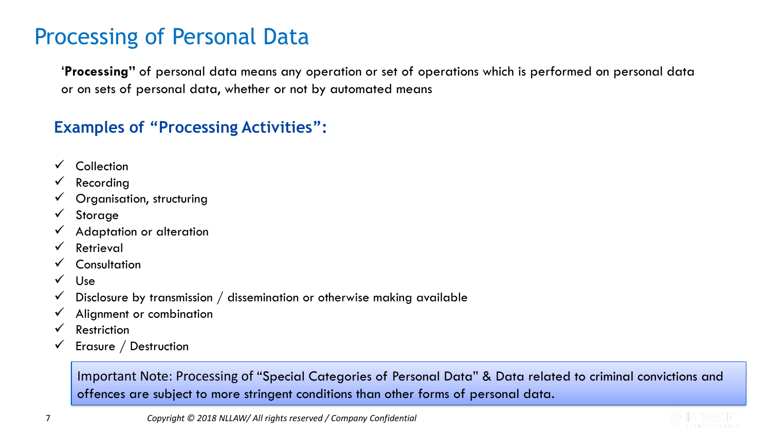#### Processing of Personal Data

'**Processing"** of personal data means any operation or set of operations which is performed on personal data or on sets of personal data, whether or not by automated means

#### **Examples of "Processing Activities":**

- ✓ Collection
- **Recording**
- $\checkmark$  Organisation, structuring
- ✓ Storage
- ✓ Adaptation or alteration
- ✓ Retrieval
- ✓ Consultation
- $\sqrt{\phantom{0}}$  Use
- $\checkmark$  Disclosure by transmission / dissemination or otherwise making available
- $\checkmark$  Alignment or combination
- $\sqrt{\phantom{a}}$  Restriction
- $\checkmark$  Erasure / Destruction

Important Note: Processing of "Special Categories of Personal Data" & Data related to criminal convictions and offences are subject to more stringent conditions than other forms of personal data.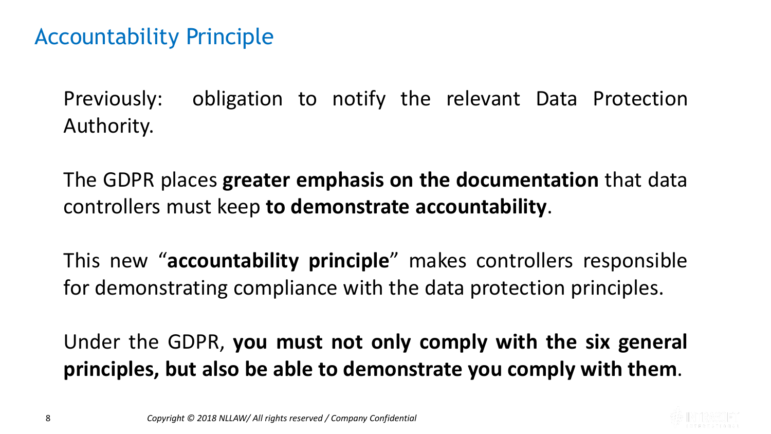#### Accountability Principle

Previously: obligation to notify the relevant Data Protection Authority.

The GDPR places **greater emphasis on the documentation** that data controllers must keep **to demonstrate accountability**.

This new "**accountability principle**" makes controllers responsible for demonstrating compliance with the data protection principles.

Under the GDPR, **you must not only comply with the six general principles, but also be able to demonstrate you comply with them**.

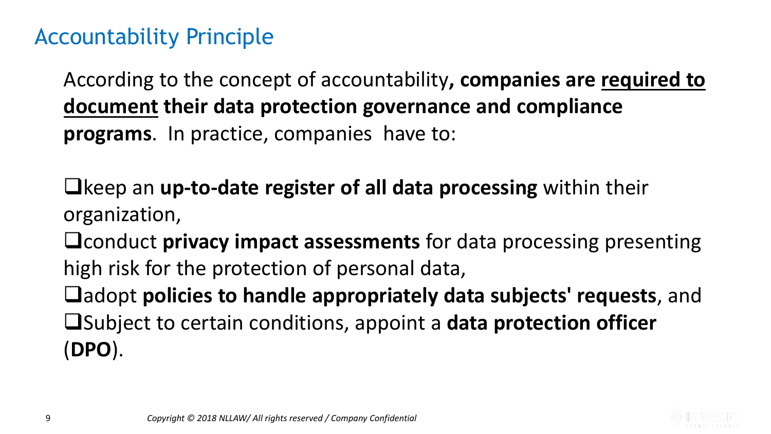#### Accountability Principle

According to the concept of accountability**, companies are required to document their data protection governance and compliance programs**. In practice, companies have to:

keep an **up-to-date register of all data processing** within their organization,

**Q** conduct **privacy impact assessments** for data processing presenting high risk for the protection of personal data,

 $\Box$  adopt **policies to handle appropriately data subjects' requests**, and Subject to certain conditions, appoint a **data protection officer** (**DPO**).

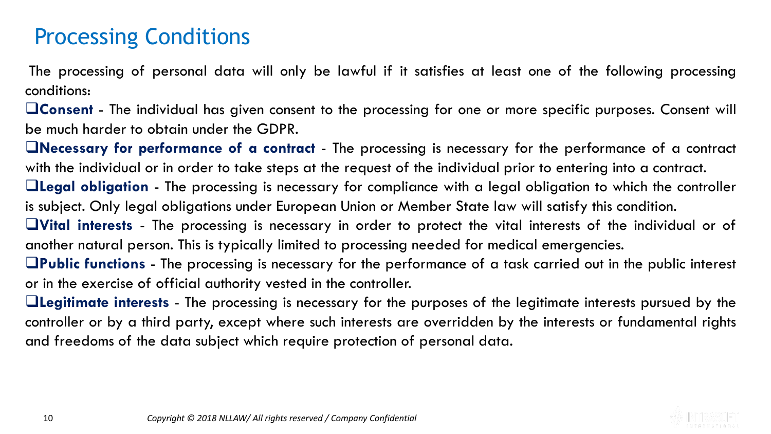### Processing Conditions

The processing of personal data will only be lawful if it satisfies at least one of the following processing conditions:

**Consent** - The individual has given consent to the processing for one or more specific purposes. Consent will be much harder to obtain under the GDPR.

**Necessary for performance of a contract** - The processing is necessary for the performance of a contract with the individual or in order to take steps at the request of the individual prior to entering into a contract.

**Legal obligation** - The processing is necessary for compliance with a legal obligation to which the controller is subject. Only legal obligations under European Union or Member State law will satisfy this condition.

**Vital interests** - The processing is necessary in order to protect the vital interests of the individual or of another natural person. This is typically limited to processing needed for medical emergencies.

**Public functions** - The processing is necessary for the performance of a task carried out in the public interest or in the exercise of official authority vested in the controller.

**Legitimate interests** - The processing is necessary for the purposes of the legitimate interests pursued by the controller or by a third party, except where such interests are overridden by the interests or fundamental rights and freedoms of the data subject which require protection of personal data.

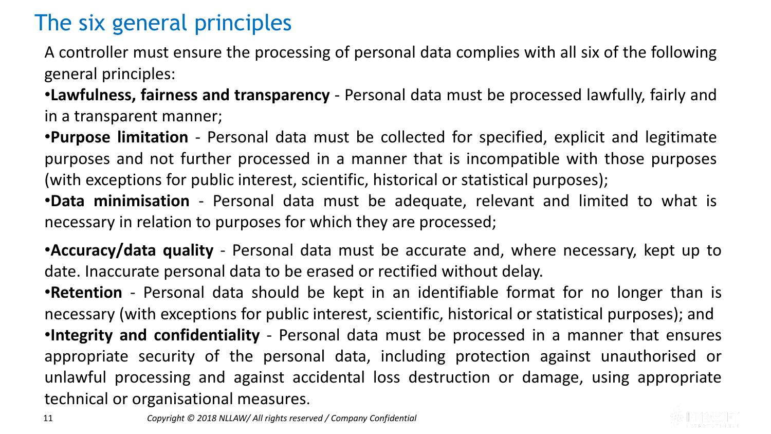# The six general principles

A controller must ensure the processing of personal data complies with all six of the following general principles:

•**Lawfulness, fairness and transparency** - Personal data must be processed lawfully, fairly and in a transparent manner;

•**Purpose limitation** - Personal data must be collected for specified, explicit and legitimate purposes and not further processed in a manner that is incompatible with those purposes (with exceptions for public interest, scientific, historical or statistical purposes);

•**Data minimisation** - Personal data must be adequate, relevant and limited to what is necessary in relation to purposes for which they are processed;

•**Accuracy/data quality** - Personal data must be accurate and, where necessary, kept up to date. Inaccurate personal data to be erased or rectified without delay.

•**Retention** - Personal data should be kept in an identifiable format for no longer than is necessary (with exceptions for public interest, scientific, historical or statistical purposes); and •**Integrity and confidentiality** - Personal data must be processed in a manner that ensures appropriate security of the personal data, including protection against unauthorised or unlawful processing and against accidental loss destruction or damage, using appropriate technical or organisational measures.

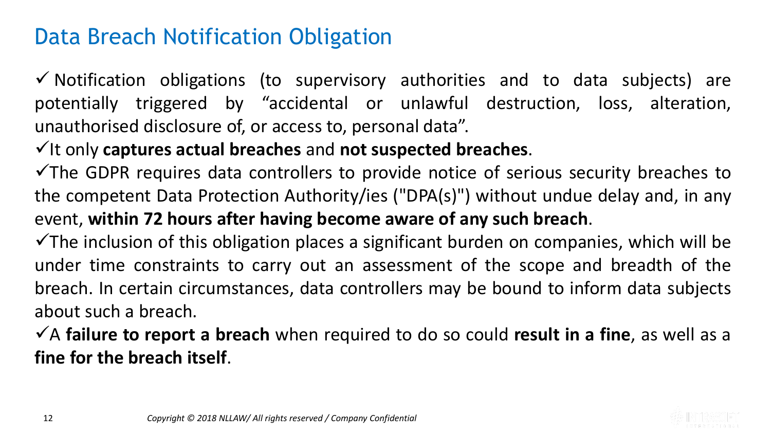#### Data Breach Notification Obligation

✓ Notification obligations (to supervisory authorities and to data subjects) are potentially triggered by "accidental or unlawful destruction, loss, alteration, unauthorised disclosure of, or access to, personal data".

#### ✓It only **captures actual breaches** and **not suspected breaches**.

 $\checkmark$ The GDPR requires data controllers to provide notice of serious security breaches to the competent Data Protection Authority/ies ("DPA(s)") without undue delay and, in any event, **within 72 hours after having become aware of any such breach**.

 $\checkmark$ The inclusion of this obligation places a significant burden on companies, which will be under time constraints to carry out an assessment of the scope and breadth of the breach. In certain circumstances, data controllers may be bound to inform data subjects about such a breach.

✓A **failure to report a breach** when required to do so could **result in a fine**, as well as a **fine for the breach itself**.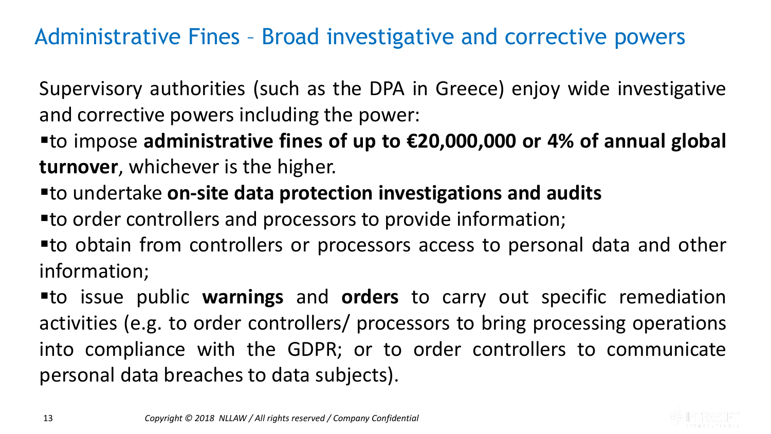### Administrative Fines – Broad investigative and corrective powers

Supervisory authorities (such as the DPA in Greece) enjoy wide investigative and corrective powers including the power:

▪to impose **administrative fines of up to €20,000,000 or 4% of annual global turnover**, whichever is the higher.

▪to undertake **on-site data protection investigations and audits**

■ to order controllers and processors to provide information;

▪to obtain from controllers or processors access to personal data and other information;

▪to issue public **warnings** and **orders** to carry out specific remediation activities (e.g. to order controllers/ processors to bring processing operations into compliance with the GDPR; or to order controllers to communicate personal data breaches to data subjects).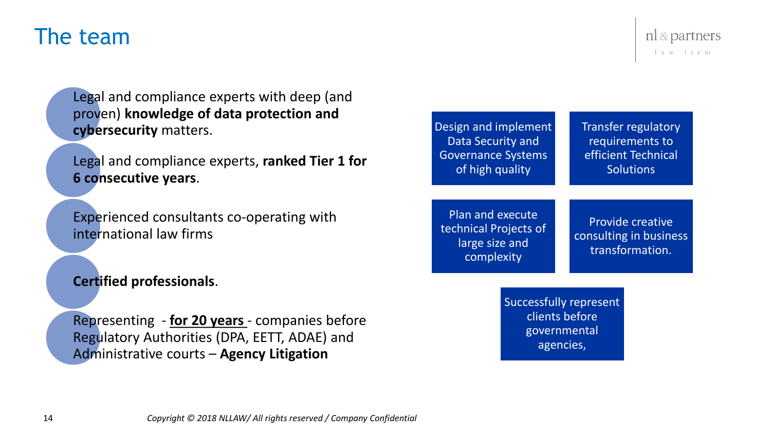#### The team

Legal and compliance experts with deep (and proven) **knowledge of data protection and cybersecurity** matters.

Legal and compliance experts, **ranked Tier 1 for 6 consecutive years**.

Experienced consultants co-operating with international law firms

**Certified professionals**.

Representing - **for 20 years** - companies before Regulatory Authorities (DPA, EETT, ADAE) and Administrative courts – **Agency Litigation**



Plan and execute technical Projects of large size and complexity

requirements to efficient Technical **Solutions** 

Provide creative consulting in business transformation.

Successfully represent clients before governmental agencies,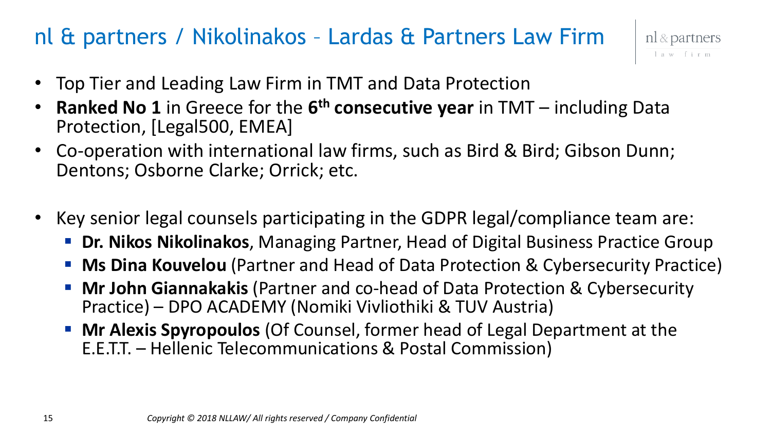### nl & partners / Nikolinakos – Lardas & Partners Law Firm



- Top Tier and Leading Law Firm in TMT and Data Protection
- **Ranked No 1** in Greece for the **6 th consecutive year** in TMT including Data Protection, [Legal500, EMEA]
- Co-operation with international law firms, such as Bird & Bird; Gibson Dunn; Dentons; Osborne Clarke; Orrick; etc.
- Key senior legal counsels participating in the GDPR legal/compliance team are:
	- **Dr. Nikos Nikolinakos**, Managing Partner, Head of Digital Business Practice Group
	- **Ms Dina Kouvelou** (Partner and Head of Data Protection & Cybersecurity Practice)
	- **Mr John Giannakakis** (Partner and co-head of Data Protection & Cybersecurity Practice) – DPO ACADEMY (Nomiki Vivliothiki & TUV Austria)
	- **Mr Alexis Spyropoulos** (Of Counsel, former head of Legal Department at the E.E.T.T. – Hellenic Telecommunications & Postal Commission)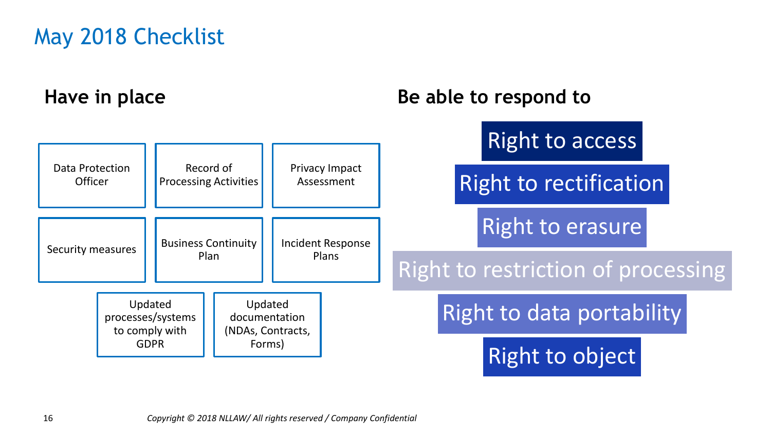## May 2018 Checklist

#### **Have in place**

#### **Be able to respond to**

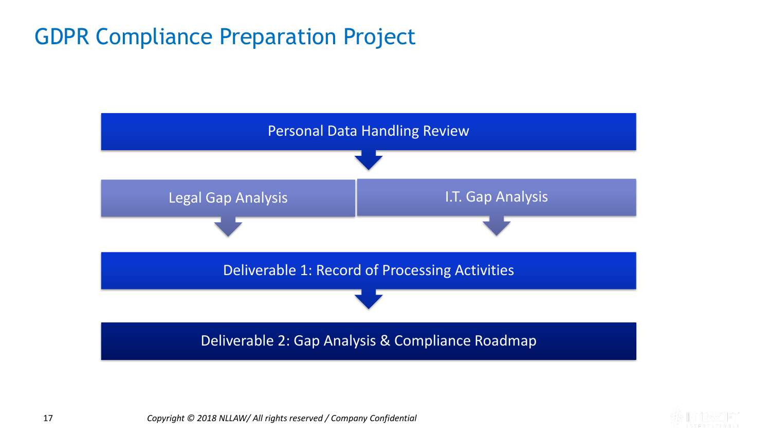### GDPR Compliance Preparation Project



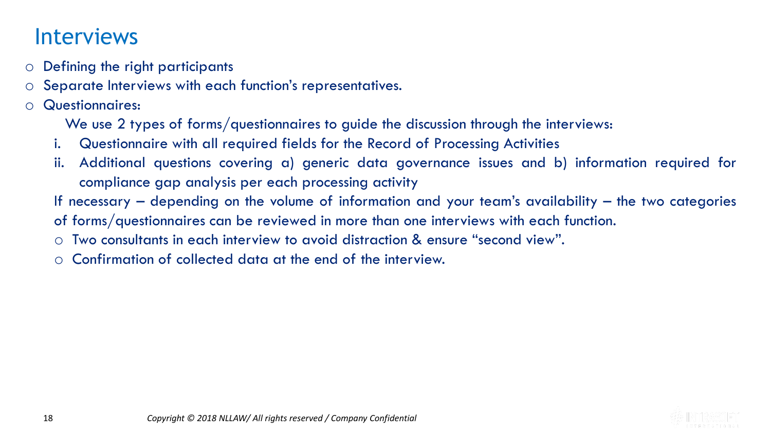#### Interviews

- o Defining the right participants
- o Separate Interviews with each function's representatives.
- o Questionnaires:

We use 2 types of forms/questionnaires to guide the discussion through the interviews:

- i. Questionnaire with all required fields for the Record of Processing Activities
- ii. Additional questions covering a) generic data governance issues and b) information required for compliance gap analysis per each processing activity
- If necessary depending on the volume of information and your team's availability the two categories

of forms/questionnaires can be reviewed in more than one interviews with each function.

- o Two consultants in each interview to avoid distraction & ensure "second view".
- o Confirmation of collected data at the end of the interview.

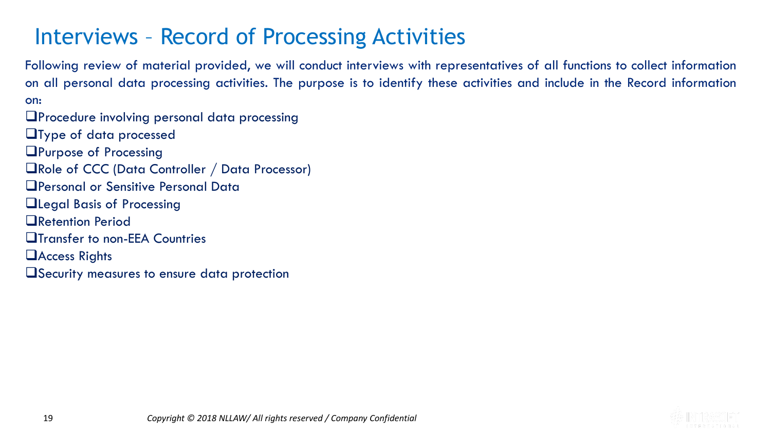### Interviews – Record of Processing Activities

Following review of material provided, we will conduct interviews with representatives of all functions to collect information on all personal data processing activities. The purpose is to identify these activities and include in the Record information on:

**L**Procedure involving personal data processing **Type of data processed** 

**QPurpose of Processing** 

Role of CCC (Data Controller / Data Processor)

Personal or Sensitive Personal Data

**QLegal Basis of Processing** 

**ORetention Period** 

**The Transfer to non-EEA Countries** 

**Access Rights** 

Security measures to ensure data protection

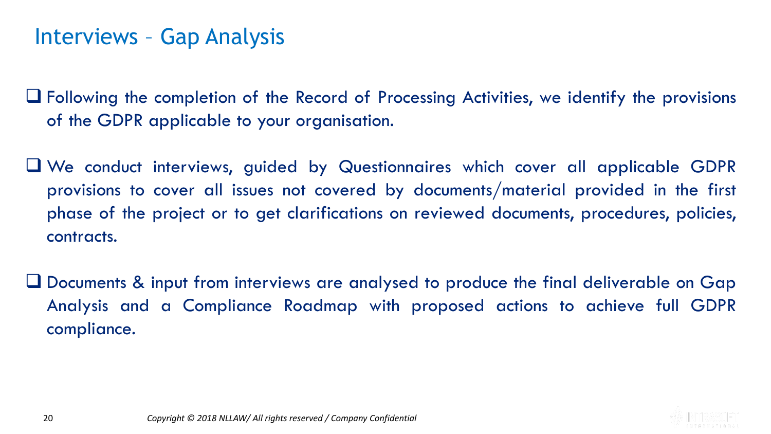#### Interviews – Gap Analysis

 Following the completion of the Record of Processing Activities, we identify the provisions of the GDPR applicable to your organisation.

- We conduct interviews, guided by Questionnaires which cover all applicable GDPR provisions to cover all issues not covered by documents/material provided in the first phase of the project or to get clarifications on reviewed documents, procedures, policies, contracts.
- Documents & input from interviews are analysed to produce the final deliverable on Gap Analysis and a Compliance Roadmap with proposed actions to achieve full GDPR compliance.

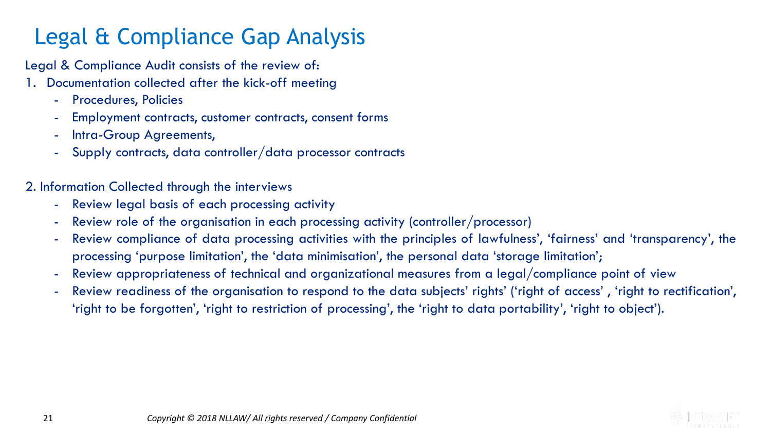# Legal & Compliance Gap Analysis

Legal & Compliance Audit consists of the review of:

- 1. Documentation collected after the kick-off meeting
	- Procedures, Policies
	- Employment contracts, customer contracts, consent forms
	- Intra-Group Agreements,
	- Supply contracts, data controller/data processor contracts

2. Information Collected through the interviews

- Review legal basis of each processing activity
- Review role of the organisation in each processing activity (controller/processor)
- Review compliance of data processing activities with the principles of lawfulness', 'fairness' and 'transparency', the processing 'purpose limitation', the 'data minimisation', the personal data 'storage limitation';
- Review appropriateness of technical and organizational measures from a legal/compliance point of view
- Review readiness of the organisation to respond to the data subjects' rights' ('right of access' , 'right to rectification', 'right to be forgotten', 'right to restriction of processing', the 'right to data portability', 'right to object').

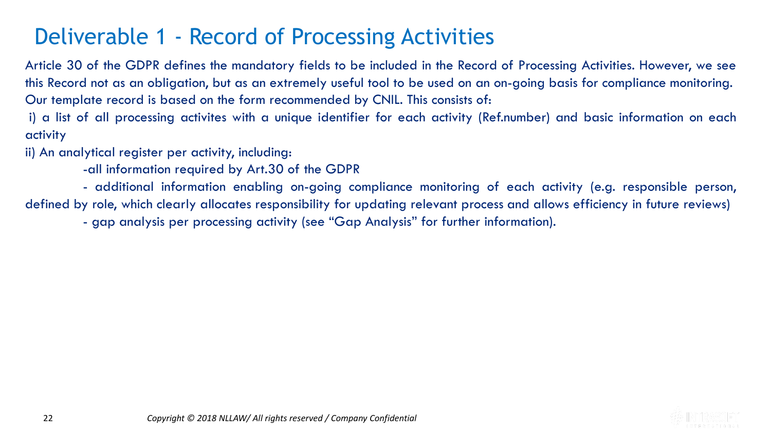### Deliverable 1 - Record of Processing Activities

Article 30 of the GDPR defines the mandatory fields to be included in the Record of Processing Activities. However, we see this Record not as an obligation, but as an extremely useful tool to be used on an on-going basis for compliance monitoring. Our template record is based on the form recommended by CNIL. This consists of:

i) a list of all processing activites with a unique identifier for each activity (Ref.number) and basic information on each activity

ii) An analytical register per activity, including:

-all information required by Art.30 of the GDPR

- additional information enabling on-going compliance monitoring of each activity (e.g. responsible person, defined by role, which clearly allocates responsibility for updating relevant process and allows efficiency in future reviews)

- gap analysis per processing activity (see "Gap Analysis" for further information).

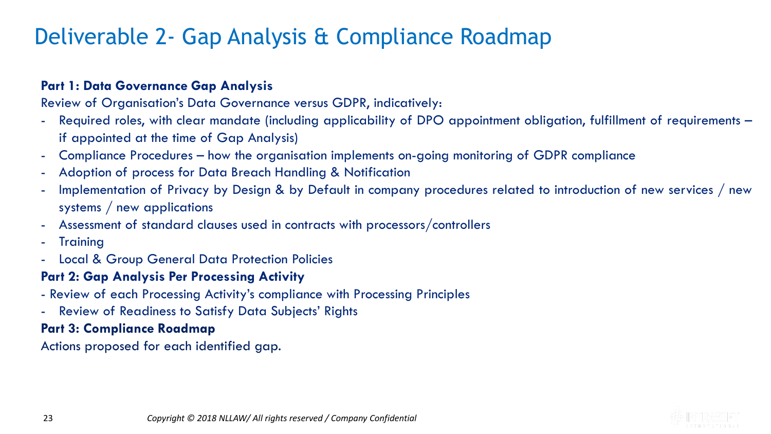## Deliverable 2- Gap Analysis & Compliance Roadmap

#### **Part 1: Data Governance Gap Analysis**

Review of Organisation's Data Governance versus GDPR, indicatively:

- Required roles, with clear mandate (including applicability of DPO appointment obligation, fulfillment of requirements if appointed at the time of Gap Analysis)
- Compliance Procedures how the organisation implements on-going monitoring of GDPR compliance
- Adoption of process for Data Breach Handling & Notification
- Implementation of Privacy by Design & by Default in company procedures related to introduction of new services / new systems / new applications
- Assessment of standard clauses used in contracts with processors/controllers
- Training
- Local & Group General Data Protection Policies

#### **Part 2: Gap Analysis Per Processing Activity**

- Review of each Processing Activity's compliance with Processing Principles
- Review of Readiness to Satisfy Data Subjects' Rights

#### **Part 3: Compliance Roadmap**

Actions proposed for each identified gap.